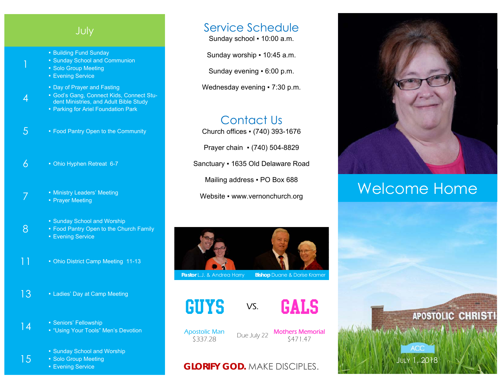# July

- Building Fund Sunday
- **Sunday School and Communion**
- Solo Group Meeting
- **Evening Service**

1

4

8

15

- Day of Prayer and Fasting
- God's Gang, Connect Kids, Connect Student Ministries, and Adult Bible Study
- Parking for Ariel Foundation Park
- 5 Food Pantry Open to the Community
- $6 \cdot$  Ohio Hyphen Retreat 6-7
- **7 Example 1** Ministry Leaders' Meeting • Prayer Meeting
	- Sunday School and Worship
	- **Food Pantry Open to the Church Family** ■ Evening Service
- 11 Ohio District Camp Meeting 11-13
- 13 Ladies' Day at Camp Meeting
- 14 Seniors' Fellowship ▪ "Using Your Tools" Men's Devotion
	- Sunday School and Worship
	- Solo Group Meeting
	- **Evening Service**

# Service Schedule

Sunday school ▪ 10:00 a.m.

Sunday worship ▪ 10:45 a.m.

Sunday evening ▪ 6:00 p.m.

Wednesday evening • 7:30 p.m.

# Contact Us

Church offices ▪ (740) 393-1676

Prayer chain ▪ (740) 504-8829

Sanctuary ▪ 1635 Old Delaware Road

Mailing address . PO Box 688

Website • www.vernonchurch.org



**Pastor L.J. & Andrea Harry Bishop Duane & Dorise Kramer** 





Apostolic Man

\$337.28 Due July 22 Mothers Memorial \$471.47

## **GLORIFY GOD.** MAKE DISCIPLES.



# Welcome Home